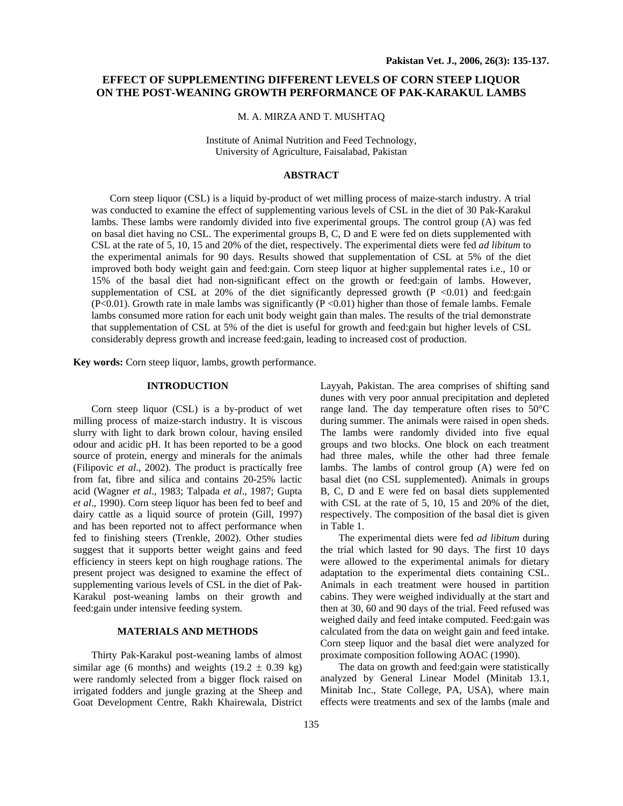# **EFFECT OF SUPPLEMENTING DIFFERENT LEVELS OF CORN STEEP LIQUOR ON THE POST-WEANING GROWTH PERFORMANCE OF PAK-KARAKUL LAMBS**

#### M. A. MIRZA AND T. MUSHTAQ

Institute of Animal Nutrition and Feed Technology, University of Agriculture, Faisalabad, Pakistan

## **ABSTRACT**

Corn steep liquor (CSL) is a liquid by-product of wet milling process of maize-starch industry. A trial was conducted to examine the effect of supplementing various levels of CSL in the diet of 30 Pak-Karakul lambs. These lambs were randomly divided into five experimental groups. The control group (A) was fed on basal diet having no CSL. The experimental groups B, C, D and E were fed on diets supplemented with CSL at the rate of 5, 10, 15 and 20% of the diet, respectively. The experimental diets were fed *ad libitum* to the experimental animals for 90 days. Results showed that supplementation of CSL at 5% of the diet improved both body weight gain and feed:gain. Corn steep liquor at higher supplemental rates i.e., 10 or 15% of the basal diet had non-significant effect on the growth or feed:gain of lambs. However, supplementation of CSL at 20% of the diet significantly depressed growth  $(P \le 0.01)$  and feed:gain  $(P<0.01)$ . Growth rate in male lambs was significantly  $(P<0.01)$  higher than those of female lambs. Female lambs consumed more ration for each unit body weight gain than males. The results of the trial demonstrate that supplementation of CSL at 5% of the diet is useful for growth and feed:gain but higher levels of CSL considerably depress growth and increase feed:gain, leading to increased cost of production.

**Key words:** Corn steep liquor, lambs, growth performance.

#### **INTRODUCTION**

Corn steep liquor (CSL) is a by-product of wet milling process of maize-starch industry. It is viscous slurry with light to dark brown colour, having ensiled odour and acidic pH. It has been reported to be a good source of protein, energy and minerals for the animals (Filipovic *et al*., 2002). The product is practically free from fat, fibre and silica and contains 20-25% lactic acid (Wagner *et al*., 1983; Talpada *et al*., 1987; Gupta *et al*., 1990). Corn steep liquor has been fed to beef and dairy cattle as a liquid source of protein (Gill, 1997) and has been reported not to affect performance when fed to finishing steers (Trenkle, 2002). Other studies suggest that it supports better weight gains and feed efficiency in steers kept on high roughage rations. The present project was designed to examine the effect of supplementing various levels of CSL in the diet of Pak-Karakul post-weaning lambs on their growth and feed:gain under intensive feeding system.

## **MATERIALS AND METHODS**

Thirty Pak-Karakul post-weaning lambs of almost similar age (6 months) and weights  $(19.2 \pm 0.39 \text{ kg})$ were randomly selected from a bigger flock raised on irrigated fodders and jungle grazing at the Sheep and Goat Development Centre, Rakh Khairewala, District Layyah, Pakistan. The area comprises of shifting sand dunes with very poor annual precipitation and depleted range land. The day temperature often rises to 50°C during summer. The animals were raised in open sheds. The lambs were randomly divided into five equal groups and two blocks. One block on each treatment had three males, while the other had three female lambs. The lambs of control group (A) were fed on basal diet (no CSL supplemented). Animals in groups B, C, D and E were fed on basal diets supplemented with CSL at the rate of 5, 10, 15 and 20% of the diet, respectively. The composition of the basal diet is given in Table 1.

The experimental diets were fed *ad libitum* during the trial which lasted for 90 days. The first 10 days were allowed to the experimental animals for dietary adaptation to the experimental diets containing CSL. Animals in each treatment were housed in partition cabins. They were weighed individually at the start and then at 30, 60 and 90 days of the trial. Feed refused was weighed daily and feed intake computed. Feed:gain was calculated from the data on weight gain and feed intake. Corn steep liquor and the basal diet were analyzed for proximate composition following AOAC (1990).

The data on growth and feed:gain were statistically analyzed by General Linear Model (Minitab 13.1, Minitab Inc., State College, PA, USA), where main effects were treatments and sex of the lambs (male and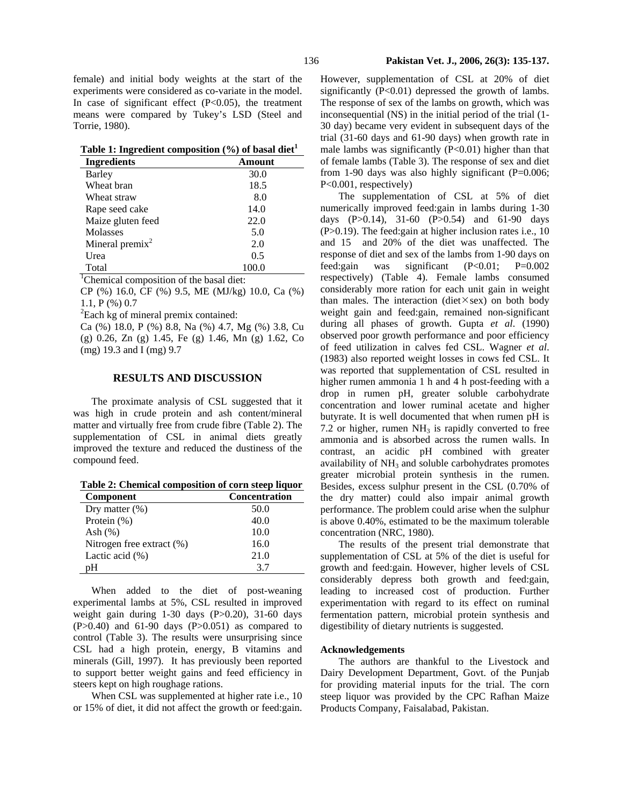|  |  |  | Table 1: Ingredient composition (%) of basal diet <sup>1</sup> |  |  |  |  |
|--|--|--|----------------------------------------------------------------|--|--|--|--|
|--|--|--|----------------------------------------------------------------|--|--|--|--|

| <b>Ingredients</b> | Amount |
|--------------------|--------|
| Barley             | 30.0   |
| Wheat bran         | 18.5   |
| Wheat straw        | 8.0    |
| Rape seed cake     | 14.0   |
| Maize gluten feed  | 22.0   |
| <b>Molasses</b>    | 5.0    |
| Mineral premix $2$ | 2.0    |
| Urea               | 0.5    |
| Total              | 100.0  |

<sup>1</sup>Chemical composition of the basal diet:

CP (%) 16.0, CF (%) 9.5, ME (MJ/kg) 10.0, Ca (%) 1.1, P (%) 0.7

 ${}^{2}$ Each kg of mineral premix contained:

Ca (%) 18.0, P (%) 8.8, Na (%) 4.7, Mg (%) 3.8, Cu (g) 0.26, Zn (g) 1.45, Fe (g) 1.46, Mn (g) 1.62, Co (mg) 19.3 and I (mg) 9.7

### **RESULTS AND DISCUSSION**

The proximate analysis of CSL suggested that it was high in crude protein and ash content/mineral matter and virtually free from crude fibre (Table 2). The supplementation of CSL in animal diets greatly improved the texture and reduced the dustiness of the compound feed.

| Table 2: Chemical composition of corn steep liquor |  |  |  |  |
|----------------------------------------------------|--|--|--|--|
|----------------------------------------------------|--|--|--|--|

| <b>Component</b>          | <b>Concentration</b> |
|---------------------------|----------------------|
| Dry matter $(\%)$         | 50.0                 |
| Protein $(\%)$            | 40.0                 |
| Ash $(\%)$                | 10.0                 |
| Nitrogen free extract (%) | 16.0                 |
| Lactic acid $(\%)$        | 21.0                 |
| pН                        | 37                   |

When added to the diet of post-weaning experimental lambs at 5%, CSL resulted in improved weight gain during 1-30 days (P>0.20), 31-60 days  $(P>0.40)$  and 61-90 days  $(P>0.051)$  as compared to control (Table 3). The results were unsurprising since CSL had a high protein, energy, B vitamins and minerals (Gill, 1997). It has previously been reported to support better weight gains and feed efficiency in steers kept on high roughage rations.

When CSL was supplemented at higher rate i.e., 10 or 15% of diet, it did not affect the growth or feed:gain. However, supplementation of CSL at 20% of diet significantly  $(P<0.01)$  depressed the growth of lambs. The response of sex of the lambs on growth, which was inconsequential (NS) in the initial period of the trial (1- 30 day) became very evident in subsequent days of the trial (31-60 days and 61-90 days) when growth rate in male lambs was significantly  $(P<0.01)$  higher than that of female lambs (Table 3). The response of sex and diet from 1-90 days was also highly significant (P=0.006; P<0.001, respectively)

The supplementation of CSL at 5% of diet numerically improved feed:gain in lambs during 1-30 days  $(P>0.14)$ , 31-60  $(P>0.54)$  and 61-90 days (P>0.19). The feed:gain at higher inclusion rates i.e., 10 and 15 and 20% of the diet was unaffected. The response of diet and sex of the lambs from 1-90 days on feed:gain was significant (P<0.01; P=0.002 respectively) (Table 4). Female lambs consumed considerably more ration for each unit gain in weight than males. The interaction (diet $\times$ sex) on both body weight gain and feed:gain, remained non-significant during all phases of growth. Gupta *et al*. (1990) observed poor growth performance and poor efficiency of feed utilization in calves fed CSL. Wagner *et al*. (1983) also reported weight losses in cows fed CSL. It was reported that supplementation of CSL resulted in higher rumen ammonia 1 h and 4 h post-feeding with a drop in rumen pH, greater soluble carbohydrate concentration and lower ruminal acetate and higher butyrate. It is well documented that when rumen pH is 7.2 or higher, rumen  $NH<sub>3</sub>$  is rapidly converted to free ammonia and is absorbed across the rumen walls. In contrast, an acidic pH combined with greater availability of NH<sub>3</sub> and soluble carbohydrates promotes greater microbial protein synthesis in the rumen. Besides, excess sulphur present in the CSL (0.70% of the dry matter) could also impair animal growth performance. The problem could arise when the sulphur is above 0.40%, estimated to be the maximum tolerable concentration (NRC, 1980).

The results of the present trial demonstrate that supplementation of CSL at 5% of the diet is useful for growth and feed:gain. However, higher levels of CSL considerably depress both growth and feed:gain, leading to increased cost of production. Further experimentation with regard to its effect on ruminal fermentation pattern, microbial protein synthesis and digestibility of dietary nutrients is suggested.

#### **Acknowledgements**

The authors are thankful to the Livestock and Dairy Development Department, Govt. of the Punjab for providing material inputs for the trial. The corn steep liquor was provided by the CPC Rafhan Maize Products Company, Faisalabad, Pakistan.